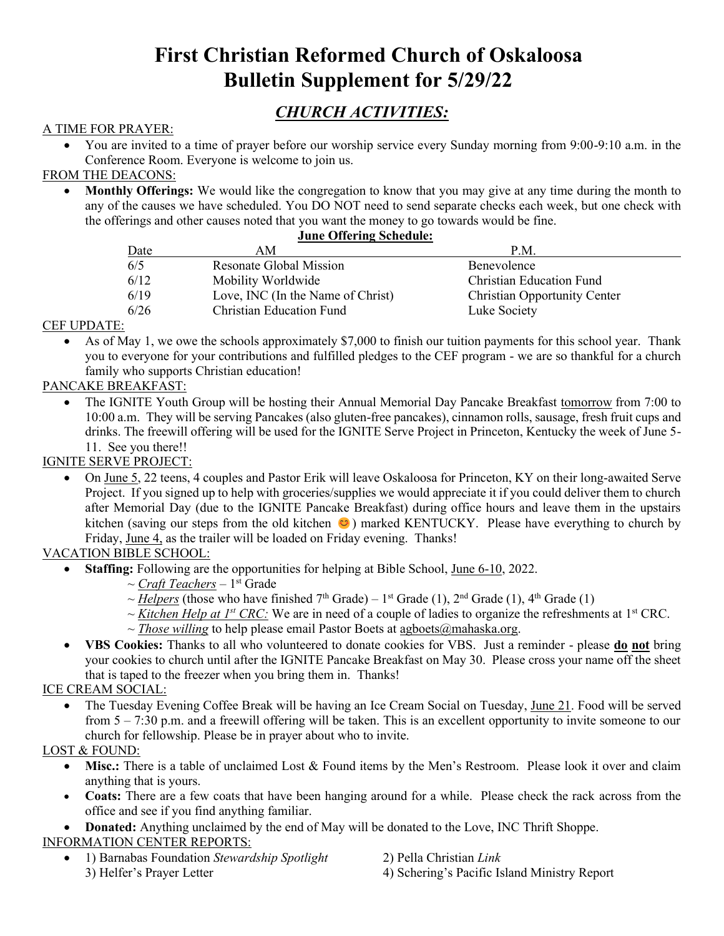# **First Christian Reformed Church of Oskaloosa Bulletin Supplement for 5/29/22**

## *CHURCH ACTIVITIES:*

#### A TIME FOR PRAYER:

• You are invited to a time of prayer before our worship service every Sunday morning from 9:00-9:10 a.m. in the Conference Room. Everyone is welcome to join us.

#### FROM THE DEACONS:

• **Monthly Offerings:** We would like the congregation to know that you may give at any time during the month to any of the causes we have scheduled. You DO NOT need to send separate checks each week, but one check with the offerings and other causes noted that you want the money to go towards would be fine.

#### **June Offering Schedule:**

| Date | ΑM                                | P.M.                                |
|------|-----------------------------------|-------------------------------------|
| 6/5  | <b>Resonate Global Mission</b>    | Benevolence                         |
| 6/12 | Mobility Worldwide                | <b>Christian Education Fund</b>     |
| 6/19 | Love, INC (In the Name of Christ) | <b>Christian Opportunity Center</b> |
| 6/26 | Christian Education Fund          | Luke Society                        |

#### CEF UPDATE:

As of May 1, we owe the schools approximately \$7,000 to finish our tuition payments for this school year. Thank you to everyone for your contributions and fulfilled pledges to the CEF program - we are so thankful for a church family who supports Christian education!

#### PANCAKE BREAKFAST:

• The IGNITE Youth Group will be hosting their Annual Memorial Day Pancake Breakfast tomorrow from 7:00 to 10:00 a.m. They will be serving Pancakes (also gluten-free pancakes), cinnamon rolls, sausage, fresh fruit cups and drinks. The freewill offering will be used for the IGNITE Serve Project in Princeton, Kentucky the week of June 5- 11. See you there!!

#### IGNITE SERVE PROJECT:

• On June 5, 22 teens, 4 couples and Pastor Erik will leave Oskaloosa for Princeton, KY on their long-awaited Serve Project. If you signed up to help with groceries/supplies we would appreciate it if you could deliver them to church after Memorial Day (due to the IGNITE Pancake Breakfast) during office hours and leave them in the upstairs kitchen (saving our steps from the old kitchen  $\odot$ ) marked KENTUCKY. Please have everything to church by Friday, June 4, as the trailer will be loaded on Friday evening. Thanks!

#### VACATION BIBLE SCHOOL:

- **Staffing:** Following are the opportunities for helping at Bible School, June 6-10, 2022.
	- ~ *Craft Teachers* 1<sup>st</sup> Grade
	- $\sim$  *Helpers* (those who have finished 7<sup>th</sup> Grade) 1<sup>st</sup> Grade (1), 2<sup>nd</sup> Grade (1), 4<sup>th</sup> Grade (1)
	- $\sim$  *Kitchen Help at 1<sup>st</sup> CRC*: We are in need of a couple of ladies to organize the refreshments at 1<sup>st</sup> CRC.
	- $\sim$  *Those willing* to help please email Pastor Boets at agboets  $\omega$  mahaska.org.
- **VBS Cookies:** Thanks to all who volunteered to donate cookies for VBS. Just a reminder please **do not** bring your cookies to church until after the IGNITE Pancake Breakfast on May 30. Please cross your name off the sheet that is taped to the freezer when you bring them in. Thanks!

#### ICE CREAM SOCIAL:

• The Tuesday Evening Coffee Break will be having an Ice Cream Social on Tuesday, June 21. Food will be served from 5 – 7:30 p.m. and a freewill offering will be taken. This is an excellent opportunity to invite someone to our church for fellowship. Please be in prayer about who to invite.

#### LOST & FOUND:

- Misc.: There is a table of unclaimed Lost & Found items by the Men's Restroom. Please look it over and claim anything that is yours.
- **Coats:** There are a few coats that have been hanging around for a while. Please check the rack across from the office and see if you find anything familiar.
- **Donated:** Anything unclaimed by the end of May will be donated to the Love, INC Thrift Shoppe. INFORMATION CENTER REPORTS:
	- 1) Barnabas Foundation *Stewardship Spotlight* 2) Pella Christian *Link* 3) Helfer's Prayer Letter 4) Schering's Pacific Island Ministry Report
- -